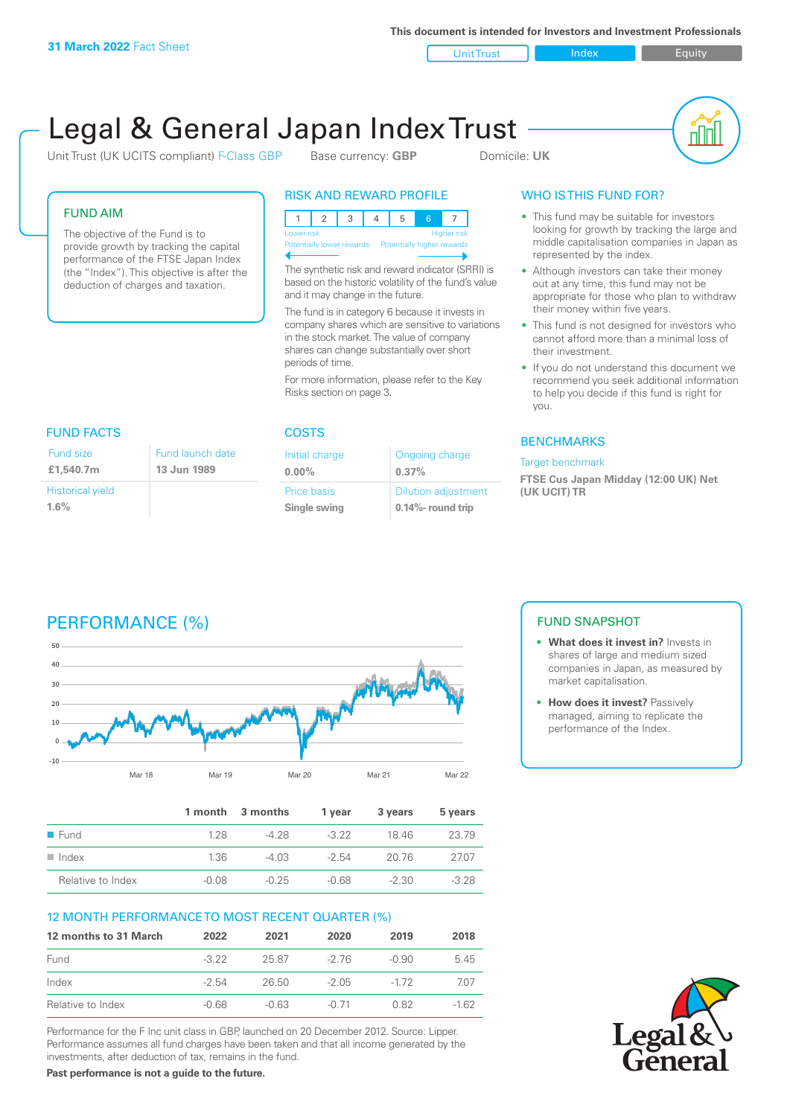**This document is intended for Investors and Investment Professionals**

Unit Trust Index Index Equity

# Legal & General Japan Index Trust

Unit Trust (UK UCITS compliant) F-Class GBP Base currency: **GBP** Domicile: UK



#### FUND AIM

The objective of the Fund is to provide growth by tracking the capital performance of the FTSE Japan Index (the "Index"). This objective is after the deduction of charges and taxation.

### RISK AND REWARD PROFILE

|                           | Lower risk |  |  |  |                            | <b>Higher risk</b> |
|---------------------------|------------|--|--|--|----------------------------|--------------------|
| Potentially lower rewards |            |  |  |  | Potentially higher rewards |                    |
|                           |            |  |  |  |                            |                    |

The synthetic risk and reward indicator (SRRI) is based on the historic volatility of the fund's value and it may change in the future.

The fund is in category 6 because it invests in company shares which are sensitive to variations in the stock market. The value of company shares can change substantially over short periods of time.

For more information, please refer to the Key Risks section on page 3.

| <b>FUND FACTS</b>                  |                                 |  |  |  |
|------------------------------------|---------------------------------|--|--|--|
| Fund size<br>£1,540.7m             | Fund launch date<br>13 Jun 1989 |  |  |  |
| <b>Historical yield</b><br>$1.6\%$ |                                 |  |  |  |

#### COSTS

| Initial charge | Ongoing charge             |
|----------------|----------------------------|
| $0.00\%$       | 0.37%                      |
| Price basis    | <b>Dilution adjustment</b> |
| Single swing   | 0.14%- round trip          |

### WHO IS THIS FUND FOR?

- This fund may be suitable for investors looking for growth by tracking the large and middle capitalisation companies in Japan as represented by the index.
- Although investors can take their money out at any time, this fund may not be appropriate for those who plan to withdraw their money within five years.
- This fund is not designed for investors who cannot afford more than a minimal loss of their investment.
- If you do not understand this document we recommend you seek additional information to help you decide if this fund is right for you.

#### **BENCHMARKS**

#### Target benchmark

**FTSE Cus Japan Midday (12:00 UK) Net (UK UCIT) TR**

## PERFORMANCE (%)



|                      |         | 1 month 3 months | 1 vear  | 3 years | 5 years |
|----------------------|---------|------------------|---------|---------|---------|
| $\blacksquare$ Fund  | 128     | -4.28            | $-322$  | 1846    | 23.79   |
| $\blacksquare$ Index | 1.36    | -4 03            | $-2.54$ | 20.76   | 2707    |
| Relative to Index    | $-0.08$ | $-0.25$          | $-0.68$ | $-2.30$ | $-3.28$ |

#### 12 MONTH PERFORMANCE TO MOST RECENT QUARTER (%)

| 12 months to 31 March | 2022    | 2021    | 2020    | 2019   | 2018   |
|-----------------------|---------|---------|---------|--------|--------|
| Fund                  | $-322$  | 25.87   | -2 76   | -0.90  | 5.45   |
| Index                 | $-2.54$ | 26.50   | -2.05   | $-172$ | 707    |
| Relative to Index     | $-0.68$ | $-0.63$ | $-0.71$ | 0.82   | $-162$ |

Performance for the F Inc unit class in GBP, launched on 20 December 2012. Source: Lipper. Performance assumes all fund charges have been taken and that all income generated by the investments, after deduction of tax, remains in the fund.

FUND SNAPSHOT

- **• What does it invest in?** Invests in shares of large and medium sized companies in Japan, as measured by market capitalisation.
- **• How does it invest?** Passively managed, aiming to replicate the performance of the Index.



**Past performance is not a guide to the future.**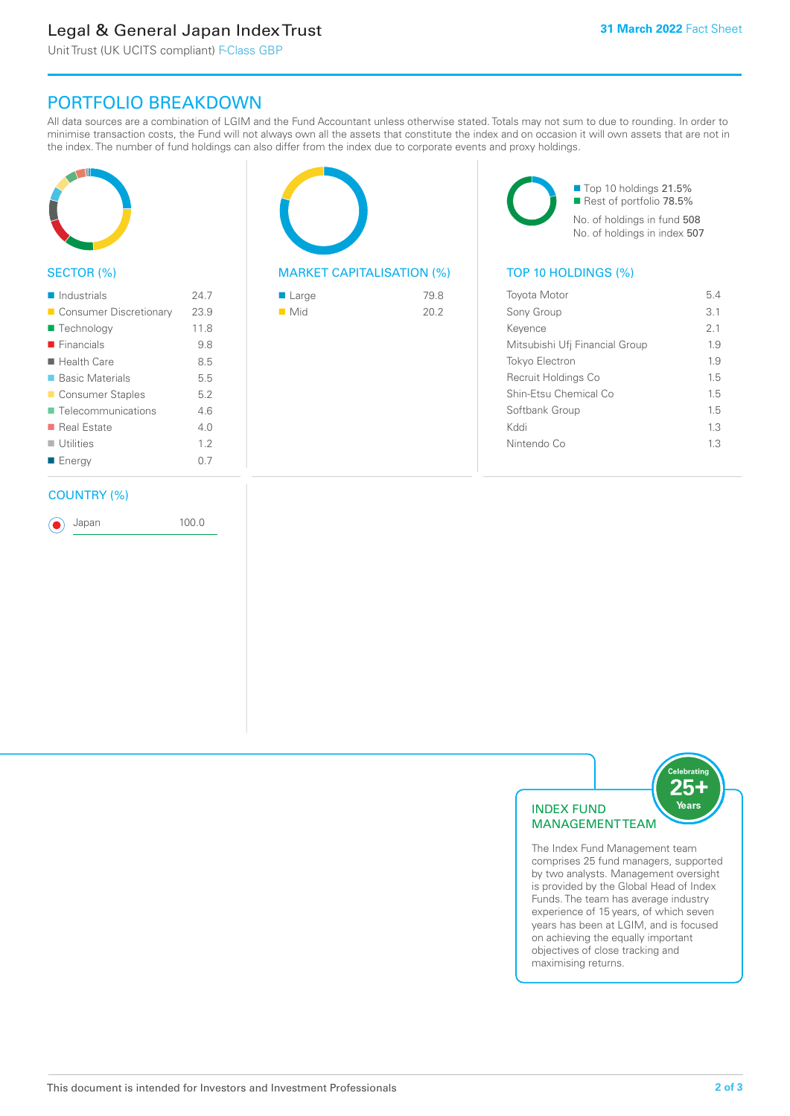### Legal & General Japan Index Trust

Unit Trust (UK UCITS compliant) F-Class GBP

### PORTFOLIO BREAKDOWN

All data sources are a combination of LGIM and the Fund Accountant unless otherwise stated. Totals may not sum to due to rounding. In order to minimise transaction costs, the Fund will not always own all the assets that constitute the index and on occasion it will own assets that are not in the index. The number of fund holdings can also differ from the index due to corporate events and proxy holdings.



#### SECTOR (%)

| $\blacksquare$ Industrials | 24.7 |
|----------------------------|------|
| ■ Consumer Discretionary   | 23.9 |
| ■ Technology               | 11.8 |
| $\blacksquare$ Financials  | 9.8  |
| $\blacksquare$ Health Care | 8.5  |
| ■ Basic Materials          | 5.5  |
| ■ Consumer Staples         | 5.2  |
| ■ Telecommunications       | 46   |
| ■ Real Estate              | 40   |
| $\blacksquare$ Utilities   | 12   |
| ■ Energy                   | 0.7  |
|                            |      |

#### COUNTRY (%)

Japan 100.0



#### MARKET CAPITALISATION (%) TOP 10 HOLDINGS (%)

| $\blacksquare$ Large | 79.8 |
|----------------------|------|
| $\blacksquare$ Mid   | 20.2 |
|                      |      |

■ Top 10 holdings 21.5% Rest of portfolio 78.5% No. of holdings in fund 508 No. of holdings in index 507

| <b>Toyota Motor</b>            | 54  |
|--------------------------------|-----|
| Sony Group                     | 3.1 |
| Kevence                        | 21  |
| Mitsubishi Ufj Financial Group | 19  |
| <b>Tokyo Electron</b>          | 1.9 |
| Recruit Holdings Co            | 15  |
| Shin-Etsu Chemical Co          | 1.5 |
| Softbank Group                 | 1.5 |
| Kyql                           | 13  |
| Nintendo Co                    | 13  |
|                                |     |



The Index Fund Management team comprises 25 fund managers, supported by two analysts. Management oversight is provided by the Global Head of Index Funds. The team has average industry experience of 15 years, of which seven years has been at LGIM, and is focused on achieving the equally important objectives of close tracking and maximising returns.